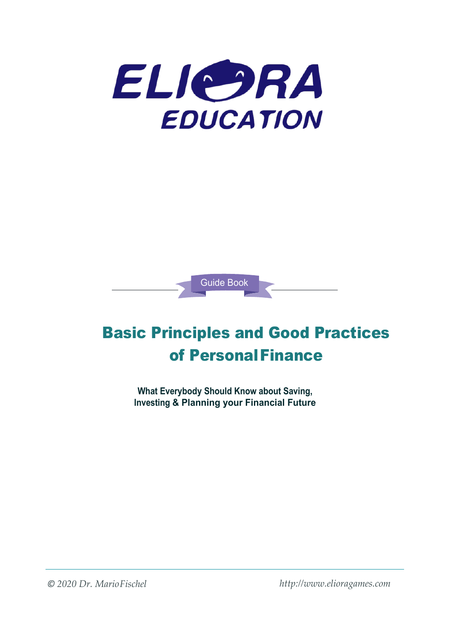

Guide Book

# Basic Principles and Good Practices of PersonalFinance

**What Everybody Should Know about Saving, Investing & Planning your Financial Future**

*© 2020 Dr. MarioFischel [http://www.elioragames.com](http://www.elioragames.com/)*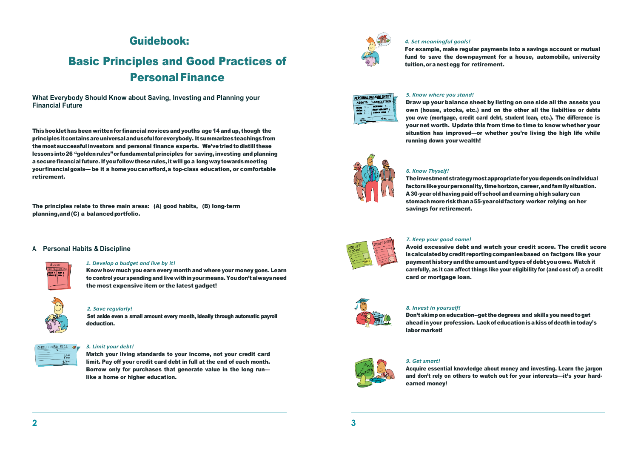# Guidebook:

# Basic Principles and Good Practices of PersonalFinance

**What Everybody Should Know about Saving, Investing and Planning your Financial Future**

Thisbooklet has been writtenfor financial novicesand youths age 14 and up, though the principlesitcontainsareuniversalandusefulforeverybody. Itsummarizesteachingsfrom themostsuccessful investors and personal finance experts. We'vetriedtodistill these lessonsinto26 "goldenrules"or fundamentalprinciples for saving, investing andplanning a securefinancialfuture.If you follow these rules,it will go a longwaytowardsmeeting your financialgoals— be it a homeyoucanafford,a top-class education, or comfortable retirement.

The principles relate to three main areas: (A) good habits, (B) long-term planning, and (C) a balanced portfolio.

# **A. Personal Habits & Discipline**



### *1. Develop a budget and live by it!*

Know how much you earn every month and where your money goes. Learn tocontrolyourspendingandlivewithinyourmeans.Youdon'talwaysneed the most expensive item or the latest gadget!



## *2. Save regularly!*

Set aside even a small amount every month, ideally through automatic payroll deduction.



## *3. Limit your debt!*

Match your living standards to your income, not your credit card limit. Pay off your credit card debt in full at the end of each month. Borrow only for purchases that generate value in the long run like a home or higher education.



## *4. Set meaningful goals!*

For example, make regular payments into a savings account or mutual fund to save the down-payment for a house, automobile, university tuition,oranestegg for retirement.



## *5. Know where you stand!*

Draw up your balance sheet by listing on one side all the assets you own (house, stocks, etc.) and on the other all the liabilties or debts you owe (mortgage, credit card debt, student loan, etc.). The difference is your net worth. Update this from time to time to know whether your situation has improved—or whether you're living the high life while running down yourwealth!



## *6. Know Thyself!*

The investment strategy most appropriate for you depends on individual factors like your personality, time horizon, career, and family situation. A 30-year old having paid off school and earning a high salary can stomachmoreriskthana55-yearoldfactory worker relying on her savings for retirement.



## *7. Keep your good name!*

Avoid excessive debt and watch your credit score. The credit score is calculated by credit reporting companies based on factgors like your paymenthistoryandtheamountandtypesofdebtyouowe. Watch it carefully, as it can affect things like your eligibility for (and cost of) a credit card or mortgage loan.



### *8. Invest in yourself!*

Don't skimp on education--get the degrees and skills you need to get aheadin your profession. Lackofeducationisakissofdeathintoday's labormarket!



# *9. Get smart!*

Acquire essential knowledge about money and investing. Learn the jargon and don't rely on others to watch out for your interests—it's your hardearned money!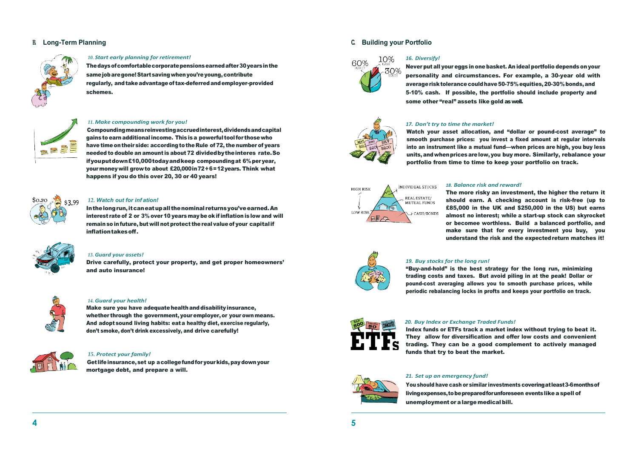# **B. Long-Term Planning**



SEE

## *10. Start early planning for retirement!*

The days of comfortable corporate pensions earned after 30 years in the same job are gone! Start saving when you're young, contribute regularly, and take advantage of tax-deferred and employer-provided schemes.

# *11. Make compounding work for you!*

Compoundingmeansreinvestingaccruedinterest,dividendsandcapital gains to earnadditional income. This isa powerful toolfor thosewho have time on their side: according to the Rule of 72, the number of years needed to double an amount is about 72 dividedbytheinteres rate.So ifyouputdown£10,000todayandkeep compoundingat 6%peryear, yourmoneywill growto about £20,000in72÷6=12years. Think what happens if you do this over 20, 30 or 40 years!



## *12. Watch out for inf ation!*

Inthelongrun,itcaneatupall thenominal returnsyou'veearned.An interest rate of 2 or 3% over 10 years maybe ok ifinflation is low and will remain so in future, but will not protect the real value of your capital if inflationtakesoff.



# *13. Guard your assets!*

Drive carefully, protect your property, and get proper homeowners' and auto insurance!



# *14. Guard your health!*

Make sure you have adequate health and disability insurance, whether through the government, your employer, or your own means. And adopt sound living habits: eata healthy diet, exercise regularly, don't smoke, don't drink excessively, and drive carefully!



# *15. Protect your family!*

Get life insurance, set up a college fund for your kids, pay down your mortgage debt, and prepare a will.

# **C. Building your Portfolio**



# *16. Diversify!*

Never put all your eggs in one basket. An ideal portfolio depends on your personality and circumstances. For example, a 30-year old with average risk tolerance could have 50-75% equities, 20-30% bonds, and 5-10% cash. If possible, the portfolio should include property and some other "real" assets like gold as well.



# *17. Don't try to time the market!*

Watch your asset allocation, and "dollar or pound-cost average" to smooth purchase prices: you invest a fixed amount at regular intervals into an instrument like a mutual fund—when prices are high, you buy less units, and when prices are low, you buy more. Similarly, rebalance your portfolio from time to time to keep your portfolio on track.



### *18. Balance risk and reward!*

The more risky an investment, the higher the return it should earn. A checking account is risk-free (up to £85,000 in the UK and \$250,000 in the US) but earns almost no interest; while a start-up stock can skyrocket or becomee worthless. Build a balanced portfolio, and make sure that for every investment you buy, you understand the risk and the expectedreturn matches it!



## *19. Buy stocks for the long run!*

"Buy-and-hold" is the best strategy for the long run, minimizing trading costs and taxes. But avoid piling in at the peak! Dollar or pound-cost averaging allows you to smooth purchase prices, while periodic rebalancing locks in profts and keeps your portfolio on track.



## *20. Buy Index or Exchange Traded Funds!*

Index funds or ETFs track a market index without trying to beat it. They allow for diversification and offer low costs and convenient trading. They can be a good complement to actively managed funds that try to beat the market.



# *21. Set up an emergency fund!*

You should have cash or similar investments coveringatleast3-6monthsof livingexpenses, to be prepared for unforeseen events like a spell of unemployment or alargemedical bill.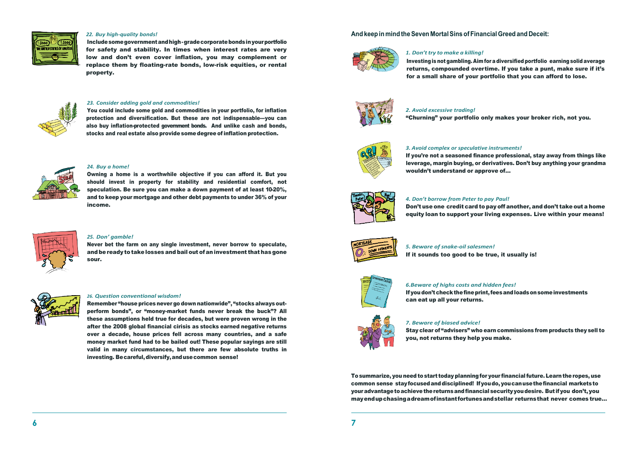

## *22. Buy high-quality bonds!*

Includesomegovernmentandhigh-gradecorporatebondsinyourportfolio for safety and stability. In times when interest rates are very low and don't even cover inflation, you may complement or replace them by floating-rate bonds, low-risk equities, or rental property.



### *23. Consider adding gold and commodities!*

You could include some gold and commodities in your portfolio, for inflation protection and diversification. But these are not indispensable---you can also buy inflation-protected government bonds. And unlike cash and bonds, stocks and real estate also provide some degree of inflation protection.



#### *24. Buy a home!*

Owning a home is a worthwhile objective if you can afford it. But you should invest in property for stability and residential comfort, not speculation. Be sure you can make a down payment of at least 10-20%, and to keep your mortgage and other debt payments to under 36% of your income.



#### *25. Don' gamble!*

Never bet the farm on any single investment, never borrow to speculate, and be ready to take losses and bail out of an investment that has gone sour.



## *26. Question conventional wisdom!*

Remember "house prices never go down nationwide", "stocks always outperform bonds", or "money-market funds never break the buck"? All these assumptions held true for decades, but were proven wrong in the after the 2008 global financial cirisis as stocks earned negative returns over a decade, house prices fell across many countries, and a safe money market fund had to be bailed out! These popular sayings are still valid in many circumstances, but there are few absolute truths in investing. Becareful,diversify,andusecommon sense!

# **And keep in mind theSeven MortalSinsofFinancialGreed and Deceit:**



### *1. Don'ttry to make a killing!*

Investingisnot gambling. Aimfor adiversified portfolio earningsolid average returns, compounded overtime. If you take a punt, make sure if it's for a small share of your portfolio that you can afford to lose.



### *2. Avoid excessive trading!*

"Churning" your portfolio only makes your broker rich, not you.



## *3. Avoid complex or speculative instruments!*

If you're not a seasoned finance professional, stay away from things like leverage, margin buying, or derivatives. Don't buy anything your grandma wouldn't understand or approve of...

#### *4. Don't borrow from Peter to pay Paul!*

Don't use one credit card to pay off another, and don't take out a home equity loan to support your living expenses. Live within your means!



## *5. Beware of snake-oil salesmen!*

If it sounds too good to be true, it usually is!



#### *6.Beware of highs costs and hidden fees!*

Ifyoudon'tcheckthefineprint,feesandloadsonsomeinvestments can eat up all your returns.



## *7. Beware of biased advice!*

Stay clear of "advisers" who earn commissions from products they sell to you, not returns they help you make.

To summarize, you need to start today planning for your financial future. Learn the ropes, use common sense stayfocusedanddisciplined! Ifyoudo,youcanusethefinancial marketsto youradvantagetoachievethereturnsandfinancial securityyoudesire. But if you don't,you mayendupchasingadreamofinstantfortunesandstellar returnsthat never comes true...